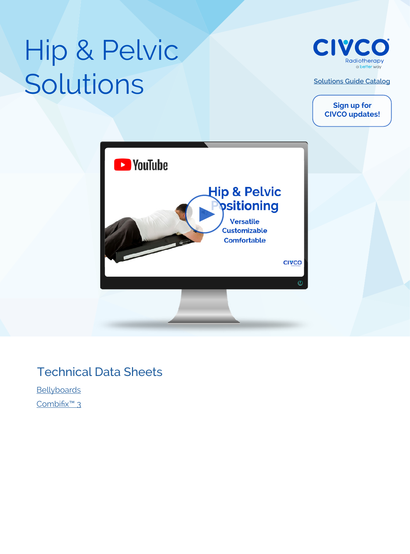# Hip & Pelvic Solutions



**[Solutions Guide Catalog](https://civcort.com/ro/resources/brochures/solutionsguide.pdf)**

**Sign up for CIVCO updates!**



#### Technical Data Sheets

**[Bellyboards](https://civcort.com/ro/resources/Technical-Spec-Sheets/BellyboardsTechnicalDataSheet_2017P1295_A.pdf)** [Combifix™ 3](https://civcort.com/ro/resources/Technical-Spec-Sheets/Combifix3TechnicalDataSheet_2018P1347_A.pdf
)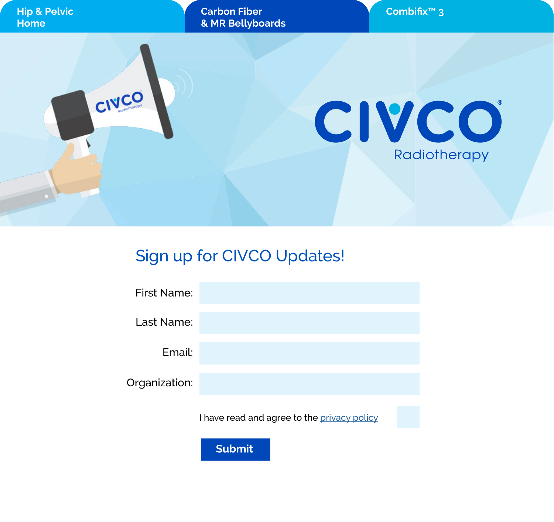

### Sign up for CIVCO Updates!

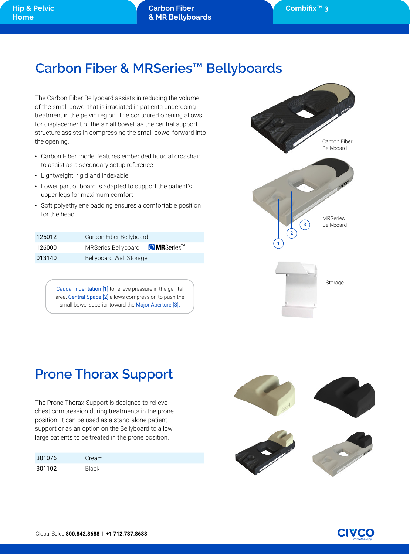## **Carbon Fiber & MRSeries™ Bellyboards**

The Carbon Fiber Bellyboard assists in reducing the volume of the small bowel that is irradiated in patients undergoing treatment in the pelvic region. The contoured opening allows for displacement of the small bowel, as the central support structure assists in compressing the small bowel forward into the opening.

- Carbon Fiber model features embedded fiducial crosshair to assist as a secondary setup reference
- Lightweight, rigid and indexable
- Lower part of board is adapted to support the patient's upper legs for maximum comfort
- Soft polyethylene padding ensures a comfortable position for the head

| 125012 | Carbon Fiber Bellyboard                           |  |
|--------|---------------------------------------------------|--|
| 126000 | MRSeries Bellyboard <b>OMRSeries</b> <sup>™</sup> |  |
| 013140 | Bellyboard Wall Storage                           |  |

Caudal Indentation [1] to relieve pressure in the genital area. Central Space [2] allows compression to push the small bowel superior toward the Major Aperture [3].



## **Prone Thorax Support**

The Prone Thorax Support is designed to relieve chest compression during treatments in the prone position. It can be used as a stand-alone patient support or as an option on the Bellyboard to allow large patients to be treated in the prone position.

| 301076 | Cream        |
|--------|--------------|
| 301102 | <b>Black</b> |